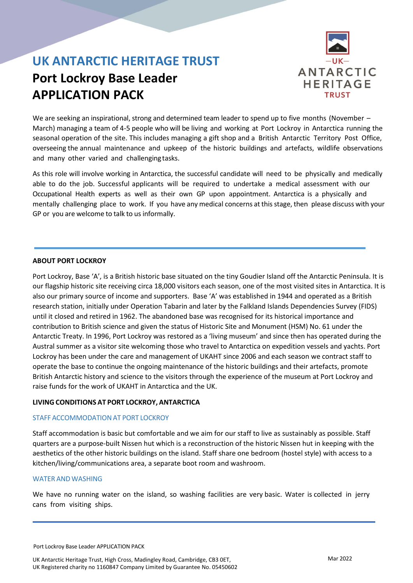# **Port Lockroy Base Leader APPLICATION PACK**



We are seeking an inspirational, strong and determined team leader to spend up to five months (November – March) managing a team of 4-5 people who will be living and working at Port Lockroy in Antarctica running the seasonal operation of the site. This includes managing a gift shop and a British Antarctic Territory Post Office, overseeing the annual maintenance and upkeep of the historic buildings and artefacts, wildlife observations and many other varied and challenging tasks.

As this role will involve working in Antarctica, the successful candidate will need to be physically and medically able to do the job. Successful applicants will be required to undertake a medical assessment with our Occupational Health experts as well as their own GP upon appointment. Antarctica is a physically and mentally challenging place to work. If you have any medical concerns atthisstage, then please discuss with your GP or you are welcome to talk to us informally.

### **ABOUT PORT LOCKROY**

Port Lockroy, Base 'A', is a British historic base situated on the tiny Goudier Island off the Antarctic Peninsula. It is our flagship historic site receiving circa 18,000 visitors each season, one of the most visited sites in Antarctica. It is also our primary source of income and supporters. Base 'A' was established in 1944 and operated as a British research station, initially under Operation Tabarin and later by the Falkland Islands Dependencies Survey (FIDS) until it closed and retired in 1962. The abandoned base was recognised for its historical importance and contribution to British science and given the status of Historic Site and Monument (HSM) No. 61 under the Antarctic Treaty. In 1996, Port Lockroy was restored as a 'living museum' and since then has operated during the Austral summer as a visitor site welcoming those who travel to Antarctica on expedition vessels and yachts. Port Lockroy has been under the care and management of UKAHT since 2006 and each season we contract staff to operate the base to continue the ongoing maintenance of the historic buildings and their artefacts, promote British Antarctic history and science to the visitors through the experience of the museum at Port Lockroy and raise funds for the work of UKAHT in Antarctica and the UK.

### **LIVING CONDITIONS AT PORT LOCKROY, ANTARCTICA**

#### STAFF ACCOMMODATION AT PORT LOCKROY

Staff accommodation is basic but comfortable and we aim for our staff to live as sustainably as possible. Staff quarters are a purpose-built Nissen hut which is a reconstruction of the historic Nissen hut in keeping with the aesthetics of the other historic buildings on the island. Staff share one bedroom (hostel style) with access to a kitchen/living/communications area, a separate boot room and washroom.

#### WATER AND WASHING

We have no running water on the island, so washing facilities are very basic. Water is collected in jerry cans from visiting ships.

Port Lockroy Base Leader APPLICATION PACK

UK Antarctic Heritage Trust, High Cross, Madingley Road, Cambridge, CB3 0ET, UK Registered charity no 1160847 Company Limited by Guarantee No. 05450602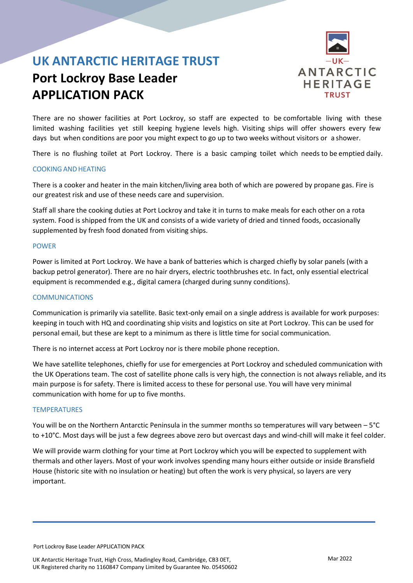# **Port Lockroy Base Leader APPLICATION PACK**



There are no shower facilities at Port Lockroy, so staff are expected to be comfortable living with these limited washing facilities yet still keeping hygiene levels high. Visiting ships will offer showers every few days but when conditions are poor you might expect to go up to two weeks without visitors or a shower.

There is no flushing toilet at Port Lockroy. There is a basic camping toilet which needs to be emptied daily.

#### COOKINGAND HEATING

There is a cooker and heater in the main kitchen/living area both of which are powered by propane gas. Fire is our greatest risk and use of these needs care and supervision.

Staff all share the cooking duties at Port Lockroy and take it in turns to make meals for each other on a rota system. Food is shipped from the UK and consists of a wide variety of dried and tinned foods, occasionally supplemented by fresh food donated from visiting ships.

#### POWER

Power is limited at Port Lockroy. We have a bank of batteries which is charged chiefly by solar panels (with a backup petrol generator). There are no hair dryers, electric toothbrushes etc. In fact, only essential electrical equipment is recommended e.g., digital camera (charged during sunny conditions).

#### COMMUNICATIONS

Communication is primarily via satellite. Basic text-only email on a single address is available for work purposes: keeping in touch with HQ and coordinating ship visits and logistics on site at Port Lockroy. This can be used for personal email, but these are kept to a minimum as there is little time for social communication.

There is no internet access at Port Lockroy nor is there mobile phone reception.

We have satellite telephones, chiefly for use for emergencies at Port Lockroy and scheduled communication with the UK Operations team. The cost of satellite phone calls is very high, the connection is not always reliable, and its main purpose is for safety. There is limited access to these for personal use. You will have very minimal communication with home for up to five months.

#### **TEMPERATURES**

You will be on the Northern Antarctic Peninsula in the summer months so temperatures will vary between – 5°C to +10°C. Most days will be just a few degrees above zero but overcast days and wind-chill will make it feel colder.

We will provide warm clothing for your time at Port Lockroy which you will be expected to supplement with thermals and other layers. Most of your work involves spending many hours either outside or inside Bransfield House (historic site with no insulation or heating) but often the work is very physical, so layers are very important.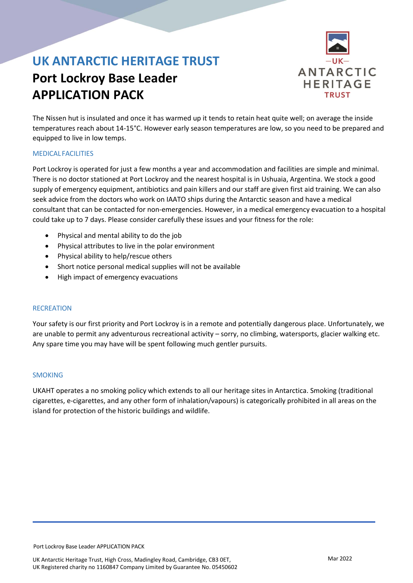# **Port Lockroy Base Leader APPLICATION PACK**



The Nissen hut is insulated and once it has warmed up it tends to retain heat quite well; on average the inside temperatures reach about 14-15°C. However early season temperatures are low, so you need to be prepared and equipped to live in low temps.

### MEDICAL FACILITIES

Port Lockroy is operated for just a few months a year and accommodation and facilities are simple and minimal. There is no doctor stationed at Port Lockroy and the nearest hospital is in Ushuaia, Argentina. We stock a good supply of emergency equipment, antibiotics and pain killers and our staff are given first aid training. We can also seek advice from the doctors who work on IAATO ships during the Antarctic season and have a medical consultant that can be contacted for non-emergencies. However, in a medical emergency evacuation to a hospital could take up to 7 days. Please consider carefully these issues and your fitness for the role:

- Physical and mental ability to do the job
- Physical attributes to live in the polar environment
- Physical ability to help/rescue others
- Short notice personal medical supplies will not be available
- High impact of emergency evacuations

#### **RECREATION**

Your safety is our first priority and Port Lockroy is in a remote and potentially dangerous place. Unfortunately, we are unable to permit any adventurous recreational activity – sorry, no climbing, watersports, glacier walking etc. Any spare time you may have will be spent following much gentler pursuits.

#### SMOKING

UKAHT operates a no smoking policy which extends to all our heritage sites in Antarctica. Smoking (traditional cigarettes, e-cigarettes, and any other form of inhalation/vapours) is categorically prohibited in all areas on the island for protection of the historic buildings and wildlife.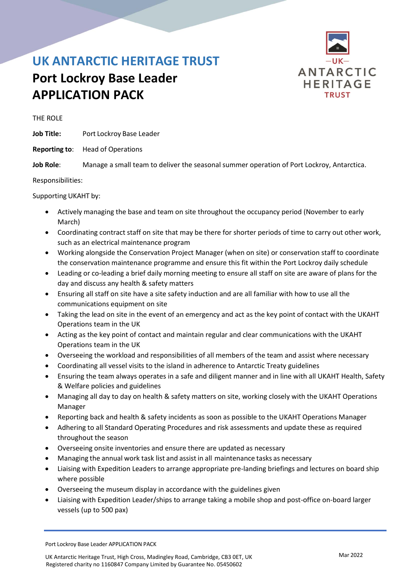## **Port Lockroy Base Leader APPLICATION PACK**



THE ROLE

**Job Title:** Port Lockroy Base Leader

**Reporting to**: Head of Operations

**Job Role**: Manage a small team to deliver the seasonal summer operation of Port Lockroy, Antarctica.

Responsibilities:

Supporting UKAHT by:

- Actively managing the base and team on site throughout the occupancy period (November to early March)
- Coordinating contract staff on site that may be there for shorter periods of time to carry out other work, such as an electrical maintenance program
- Working alongside the Conservation Project Manager (when on site) or conservation staff to coordinate the conservation maintenance programme and ensure this fit within the Port Lockroy daily schedule
- Leading or co-leading a brief daily morning meeting to ensure all staff on site are aware of plans for the day and discuss any health & safety matters
- Ensuring all staff on site have a site safety induction and are all familiar with how to use all the communications equipment on site
- Taking the lead on site in the event of an emergency and act as the key point of contact with the UKAHT Operations team in the UK
- Acting as the key point of contact and maintain regular and clear communications with the UKAHT Operations team in the UK
- Overseeing the workload and responsibilities of all members of the team and assist where necessary
- Coordinating all vessel visits to the island in adherence to Antarctic Treaty guidelines
- Ensuring the team always operates in a safe and diligent manner and in line with all UKAHT Health, Safety & Welfare policies and guidelines
- Managing all day to day on health & safety matters on site, working closely with the UKAHT Operations Manager
- Reporting back and health & safety incidents as soon as possible to the UKAHT Operations Manager
- Adhering to all Standard Operating Procedures and risk assessments and update these as required throughout the season
- Overseeing onsite inventories and ensure there are updated as necessary
- Managing the annual work task list and assist in all maintenance tasks as necessary
- Liaising with Expedition Leaders to arrange appropriate pre-landing briefings and lectures on board ship where possible
- Overseeing the museum display in accordance with the guidelines given
- Liaising with Expedition Leader/ships to arrange taking a mobile shop and post-office on-board larger vessels (up to 500 pax)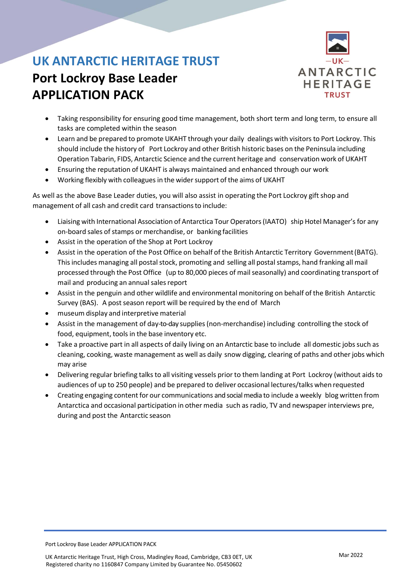# **Port Lockroy Base Leader APPLICATION PACK**



- Taking responsibility for ensuring good time management, both short term and long term, to ensure all tasks are completed within the season
- Learn and be prepared to promote UKAHT through your daily dealings with visitors to Port Lockroy. This should include the history of Port Lockroy and other British historic bases on the Peninsula including Operation Tabarin, FIDS, Antarctic Science and the current heritage and conservation work of UKAHT
- Ensuring the reputation of UKAHT is always maintained and enhanced through our work
- Working flexibly with colleagues in the wider support of the aims of UKAHT

As well as the above Base Leader duties, you will also assist in operating the Port Lockroy gift shop and management of all cash and credit card transactions to include:

- Liaising with International Association of Antarctica Tour Operators(IAATO) ship Hotel Manager's for any on-board sales of stamps or merchandise, or banking facilities
- Assist in the operation of the Shop at Port Lockroy
- Assist in the operation of the Post Office on behalf of the British Antarctic Territory Government(BATG). This includes managing all postal stock, promoting and selling all postal stamps, hand franking all mail processed through the Post Office (up to 80,000 pieces of mailseasonally) and coordinating transport of mail and producing an annual sales report
- Assist in the penguin and other wildlife and environmental monitoring on behalf of the British Antarctic Survey (BAS). A post season report will be required by the end of March
- museum display and interpretive material
- Assist in the management of day-to-day supplies(non-merchandise) including controlling the stock of food, equipment, tools in the base inventory etc.
- Take a proactive part in all aspects of daily living on an Antarctic base to include all domestic jobs such as cleaning, cooking, waste management as well as daily snow digging, clearing of paths and other jobs which may arise
- Delivering regular briefing talks to all visiting vessels prior to them landing at Port Lockroy (without aids to audiences of up to 250 people) and be prepared to deliver occasional lectures/talks when requested
- Creating engaging contentfor our communications and social media to include a weekly blog written from Antarctica and occasional participation in other media such as radio, TV and newspaper interviews pre, during and post the Antarctic season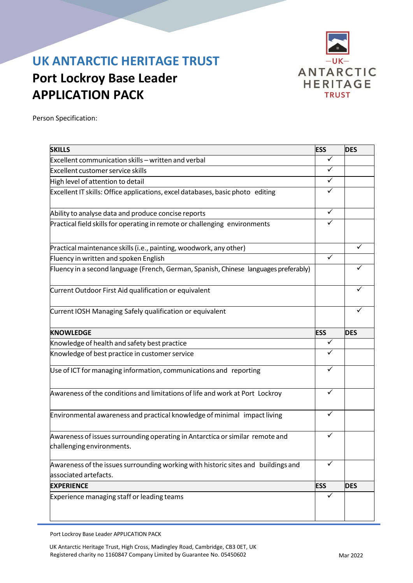# **Port Lockroy Base Leader APPLICATION PACK**



Person Specification:

| <b>SKILLS</b>                                                                                              | <b>ESS</b>   | <b>DES</b> |
|------------------------------------------------------------------------------------------------------------|--------------|------------|
| Excellent communication skills - written and verbal                                                        | ✓            |            |
| <b>Excellent customer service skills</b>                                                                   |              |            |
| High level of attention to detail                                                                          | ✓            |            |
| Excellent IT skills: Office applications, excel databases, basic photo editing                             |              |            |
| Ability to analyse data and produce concise reports                                                        | ✓            |            |
| Practical field skills for operating in remote or challenging environments                                 | ✓            |            |
| Practical maintenance skills (i.e., painting, woodwork, any other)                                         |              |            |
| Fluency in written and spoken English                                                                      | ✓            |            |
| Fluency in a second language (French, German, Spanish, Chinese languages preferably)                       |              |            |
| Current Outdoor First Aid qualification or equivalent                                                      |              |            |
| Current IOSH Managing Safely qualification or equivalent                                                   |              |            |
| <b>KNOWLEDGE</b>                                                                                           | <b>ESS</b>   | <b>DES</b> |
| Knowledge of health and safety best practice                                                               | $\checkmark$ |            |
| Knowledge of best practice in customer service                                                             | ✓            |            |
| Use of ICT for managing information, communications and reporting                                          | ✓            |            |
| Awareness of the conditions and limitations of life and work at Port Lockroy                               | ✓            |            |
| Environmental awareness and practical knowledge of minimal impact living                                   |              |            |
| Awareness of issues surrounding operating in Antarctica or similar remote and<br>challenging environments. |              |            |
| Awareness of the issues surrounding working with historic sites and buildings and                          |              |            |
| associated artefacts.                                                                                      |              |            |
| <b>EXPERIENCE</b>                                                                                          | <b>ESS</b>   | <b>DES</b> |
| Experience managing staff or leading teams                                                                 |              |            |

Port Lockroy Base Leader APPLICATION PACK

UK Antarctic Heritage Trust, High Cross, Madingley Road, Cambridge, CB3 0ET, UK Registered charity no 1160847 Company Limited by Guarantee No. 05450602 Machines Mar 2022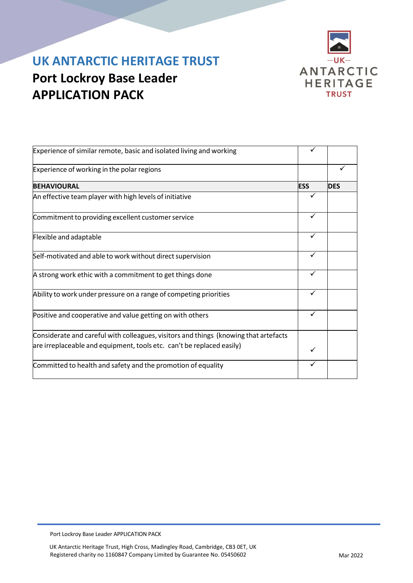



| Experience of similar remote, basic and isolated living and working                                                                                           |            |            |
|---------------------------------------------------------------------------------------------------------------------------------------------------------------|------------|------------|
| Experience of working in the polar regions                                                                                                                    |            |            |
| <b>BEHAVIOURAL</b>                                                                                                                                            | <b>ESS</b> | <b>DES</b> |
| An effective team player with high levels of initiative                                                                                                       |            |            |
| Commitment to providing excellent customer service                                                                                                            | ✓          |            |
| Flexible and adaptable                                                                                                                                        | ✓          |            |
| Self-motivated and able to work without direct supervision                                                                                                    | ✓          |            |
| A strong work ethic with a commitment to get things done                                                                                                      |            |            |
| Ability to work under pressure on a range of competing priorities                                                                                             |            |            |
| Positive and cooperative and value getting on with others                                                                                                     | ✓          |            |
| Considerate and careful with colleagues, visitors and things (knowing that artefacts<br>are irreplaceable and equipment, tools etc. can't be replaced easily) |            |            |
| Committed to health and safety and the promotion of equality                                                                                                  |            |            |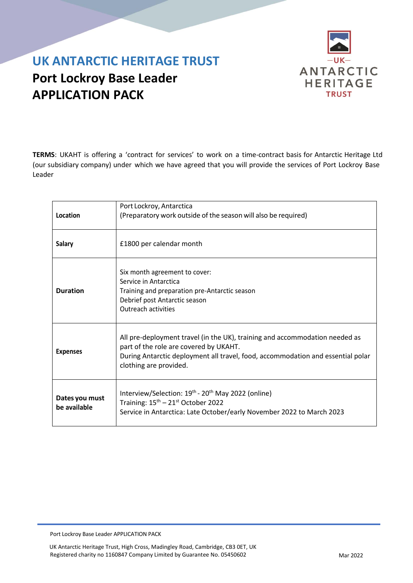# **Port Lockroy Base Leader APPLICATION PACK**



**TERMS**: UKAHT is offering a 'contract for services' to work on a time-contract basis for Antarctic Heritage Ltd (our subsidiary company) under which we have agreed that you will provide the services of Port Lockroy Base Leader

| Location                       | Port Lockroy, Antarctica<br>(Preparatory work outside of the season will also be required)                                                                                                                                         |
|--------------------------------|------------------------------------------------------------------------------------------------------------------------------------------------------------------------------------------------------------------------------------|
| <b>Salary</b>                  | £1800 per calendar month                                                                                                                                                                                                           |
| <b>Duration</b>                | Six month agreement to cover:<br>Service in Antarctica<br>Training and preparation pre-Antarctic season<br>Debrief post Antarctic season<br>Outreach activities                                                                    |
| <b>Expenses</b>                | All pre-deployment travel (in the UK), training and accommodation needed as<br>part of the role are covered by UKAHT.<br>During Antarctic deployment all travel, food, accommodation and essential polar<br>clothing are provided. |
| Dates you must<br>be available | Interview/Selection: 19 <sup>th</sup> - 20 <sup>th</sup> May 2022 (online)<br>Training: 15 <sup>th</sup> - 21 <sup>st</sup> October 2022<br>Service in Antarctica: Late October/early November 2022 to March 2023                  |